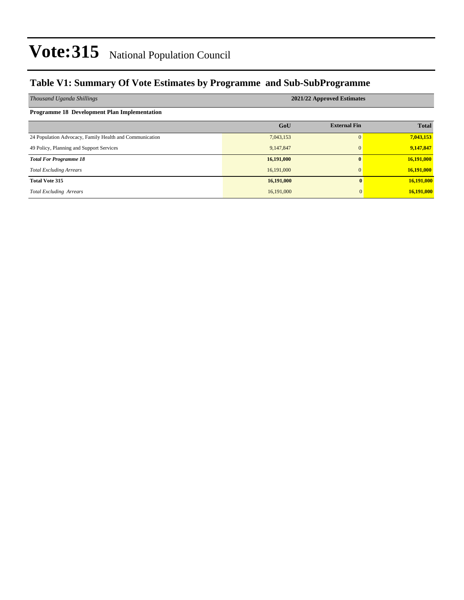### **Table V1: Summary Of Vote Estimates by Programme and Sub-SubProgramme**

| Thousand Uganda Shillings                               | 2021/22 Approved Estimates |                     |              |  |  |  |  |  |  |
|---------------------------------------------------------|----------------------------|---------------------|--------------|--|--|--|--|--|--|
| <b>Programme 18 Development Plan Implementation</b>     |                            |                     |              |  |  |  |  |  |  |
|                                                         | GoU                        | <b>External Fin</b> | <b>Total</b> |  |  |  |  |  |  |
| 24 Population Advocacy, Family Health and Communication | 7,043,153                  | 0                   | 7,043,153    |  |  |  |  |  |  |
| 49 Policy, Planning and Support Services                | 9,147,847                  | $\mathbf{0}$        | 9,147,847    |  |  |  |  |  |  |
| <b>Total For Programme 18</b>                           | 16,191,000                 | $\mathbf{0}$        | 16,191,000   |  |  |  |  |  |  |
| <b>Total Excluding Arrears</b>                          | 16,191,000                 | $\mathbf{0}$        | 16,191,000   |  |  |  |  |  |  |
| <b>Total Vote 315</b>                                   | 16,191,000                 | $\mathbf{0}$        | 16,191,000   |  |  |  |  |  |  |
| <b>Total Excluding Arrears</b>                          | 16,191,000                 | $\Omega$            | 16,191,000   |  |  |  |  |  |  |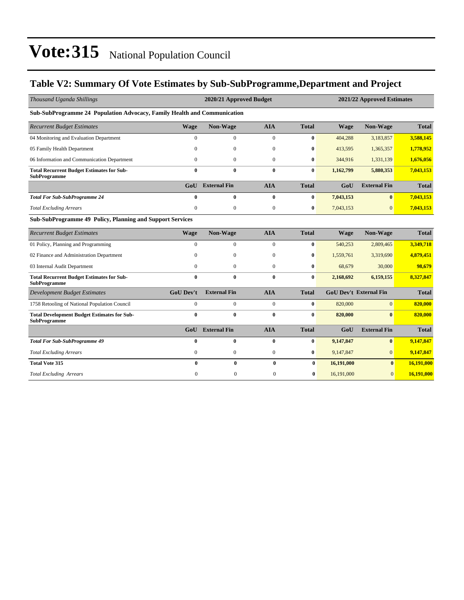### **Table V2: Summary Of Vote Estimates by Sub-SubProgramme,Department and Project**

| Thousand Uganda Shillings                                                 |                  | 2020/21 Approved Budget |                  |              |             | 2021/22 Approved Estimates    |              |  |
|---------------------------------------------------------------------------|------------------|-------------------------|------------------|--------------|-------------|-------------------------------|--------------|--|
| Sub-SubProgramme 24 Population Advocacy, Family Health and Communication  |                  |                         |                  |              |             |                               |              |  |
| <b>Recurrent Budget Estimates</b>                                         | <b>Wage</b>      | Non-Wage                | <b>AIA</b>       | <b>Total</b> | <b>Wage</b> | Non-Wage                      | <b>Total</b> |  |
| 04 Monitoring and Evaluation Department                                   | $\mathbf{0}$     | $\boldsymbol{0}$        | $\boldsymbol{0}$ | $\bf{0}$     | 404,288     | 3,183,857                     | 3,588,145    |  |
| 05 Family Health Department                                               | $\theta$         | $\mathbf{0}$            | $\boldsymbol{0}$ | $\bf{0}$     | 413,595     | 1,365,357                     | 1,778,952    |  |
| 06 Information and Communication Department                               | $\Omega$         | $\mathbf{0}$            | $\mathbf{0}$     | $\bf{0}$     | 344,916     | 1,331,139                     | 1,676,056    |  |
| <b>Total Recurrent Budget Estimates for Sub-</b><br><b>SubProgramme</b>   | $\bf{0}$         | $\bf{0}$                | $\bf{0}$         | $\bf{0}$     | 1,162,799   | 5,880,353                     | 7,043,153    |  |
|                                                                           | GoU              | <b>External Fin</b>     | <b>AIA</b>       | <b>Total</b> | GoU         | <b>External Fin</b>           | <b>Total</b> |  |
| <b>Total For Sub-SubProgramme 24</b>                                      | $\bf{0}$         | $\bf{0}$                | $\bf{0}$         | $\bf{0}$     | 7,043,153   | $\mathbf{0}$                  | 7,043,153    |  |
| <b>Total Excluding Arrears</b>                                            | $\mathbf{0}$     | $\mathbf{0}$            | $\boldsymbol{0}$ | $\bf{0}$     | 7,043,153   | $\mathbf{0}$                  | 7,043,153    |  |
| Sub-SubProgramme 49 Policy, Planning and Support Services                 |                  |                         |                  |              |             |                               |              |  |
| <b>Recurrent Budget Estimates</b>                                         | <b>Wage</b>      | Non-Wage                | <b>AIA</b>       | <b>Total</b> | <b>Wage</b> | Non-Wage                      | <b>Total</b> |  |
| 01 Policy, Planning and Programming                                       | $\overline{0}$   | $\mathbf{0}$            | $\mathbf{0}$     | $\bf{0}$     | 540,253     | 2,809,465                     | 3,349,718    |  |
| 02 Finance and Administration Department                                  | $\Omega$         | $\boldsymbol{0}$        | $\boldsymbol{0}$ | $\bf{0}$     | 1,559,761   | 3,319,690                     | 4,879,451    |  |
| 03 Internal Audit Department                                              | $\Omega$         | $\mathbf{0}$            | $\mathbf{0}$     | $\bf{0}$     | 68,679      | 30,000                        | 98,679       |  |
| <b>Total Recurrent Budget Estimates for Sub-</b><br><b>SubProgramme</b>   | $\mathbf{0}$     | $\mathbf{0}$            | $\bf{0}$         | $\bf{0}$     | 2,168,692   | 6,159,155                     | 8,327,847    |  |
| <b>Development Budget Estimates</b>                                       | <b>GoU Dev't</b> | <b>External Fin</b>     | <b>AIA</b>       | <b>Total</b> |             | <b>GoU Dev't External Fin</b> | <b>Total</b> |  |
| 1758 Retooling of National Population Council                             | $\mathbf{0}$     | $\mathbf{0}$            | $\mathbf{0}$     | $\bf{0}$     | 820,000     | $\overline{0}$                | 820,000      |  |
| <b>Total Development Budget Estimates for Sub-</b><br><b>SubProgramme</b> | $\bf{0}$         | $\bf{0}$                | $\bf{0}$         | $\bf{0}$     | 820,000     | $\mathbf{0}$                  | 820,000      |  |
|                                                                           | GoU              | <b>External Fin</b>     | <b>AIA</b>       | <b>Total</b> | GoU         | <b>External Fin</b>           | <b>Total</b> |  |
| <b>Total For Sub-SubProgramme 49</b>                                      | $\bf{0}$         | $\bf{0}$                | $\bf{0}$         | $\bf{0}$     | 9,147,847   | $\bf{0}$                      | 9,147,847    |  |
| <b>Total Excluding Arrears</b>                                            | $\boldsymbol{0}$ | $\boldsymbol{0}$        | $\boldsymbol{0}$ | $\bf{0}$     | 9,147,847   | $\overline{0}$                | 9,147,847    |  |
| <b>Total Vote 315</b>                                                     | 0                | $\bf{0}$                | $\bf{0}$         | $\bf{0}$     | 16,191,000  | $\bf{0}$                      | 16,191,000   |  |
| <b>Total Excluding Arrears</b>                                            | $\mathbf{0}$     | $\mathbf{0}$            | $\mathbf{0}$     | $\bf{0}$     | 16,191,000  | $\overline{0}$                | 16,191,000   |  |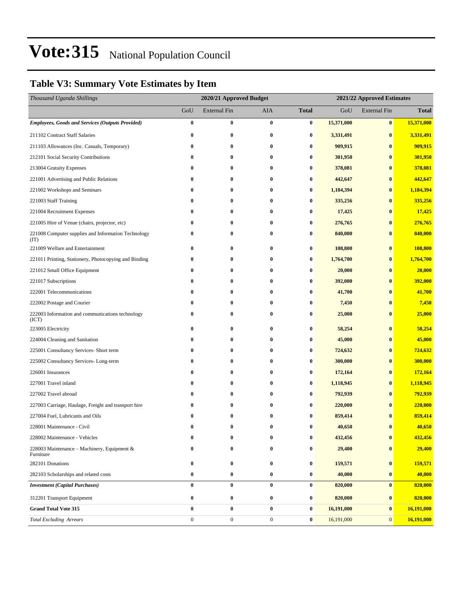### **Table V3: Summary Vote Estimates by Item**

| Thousand Uganda Shillings                                   |                  | 2020/21 Approved Budget |                  |                  | 2021/22 Approved Estimates |                     |              |
|-------------------------------------------------------------|------------------|-------------------------|------------------|------------------|----------------------------|---------------------|--------------|
|                                                             | GoU              | <b>External Fin</b>     | AIA              | <b>Total</b>     | GoU                        | <b>External Fin</b> | <b>Total</b> |
| <b>Employees, Goods and Services (Outputs Provided)</b>     | $\boldsymbol{0}$ | 0                       | $\bf{0}$         | $\boldsymbol{0}$ | 15,371,000                 | $\bf{0}$            | 15,371,000   |
| 211102 Contract Staff Salaries                              | $\bf{0}$         | 0                       | $\bf{0}$         | 0                | 3,331,491                  | $\bf{0}$            | 3,331,491    |
| 211103 Allowances (Inc. Casuals, Temporary)                 | 0                | 0                       | $\bf{0}$         | 0                | 909,915                    | $\bf{0}$            | 909,915      |
| 212101 Social Security Contributions                        | 0                | 0                       | $\bf{0}$         | 0                | 301,950                    | $\bf{0}$            | 301,950      |
| 213004 Gratuity Expenses                                    | 0                | 0                       | $\bf{0}$         | 0                | 378,081                    | $\bf{0}$            | 378,081      |
| 221001 Advertising and Public Relations                     | $\bf{0}$         | 0                       | $\bf{0}$         | 0                | 442,647                    | $\bf{0}$            | 442,647      |
| 221002 Workshops and Seminars                               | 0                | 0                       | $\bf{0}$         | 0                | 1,184,394                  | $\bf{0}$            | 1,184,394    |
| 221003 Staff Training                                       | 0                | 0                       | $\bf{0}$         | 0                | 335,256                    | $\bf{0}$            | 335,256      |
| 221004 Recruitment Expenses                                 | $\bf{0}$         | 0                       | $\bf{0}$         | 0                | 17,425                     | $\bf{0}$            | 17,425       |
| 221005 Hire of Venue (chairs, projector, etc)               | $\bf{0}$         | 0                       | $\bf{0}$         | 0                | 276,765                    | $\bf{0}$            | 276,765      |
| 221008 Computer supplies and Information Technology<br>(TT) | $\bf{0}$         | 0                       | $\bf{0}$         | $\bf{0}$         | 840,000                    | $\bf{0}$            | 840,000      |
| 221009 Welfare and Entertainment                            | $\bf{0}$         | 0                       | $\bf{0}$         | 0                | 108,800                    | $\bf{0}$            | 108,800      |
| 221011 Printing, Stationery, Photocopying and Binding       | 0                | 0                       | $\bf{0}$         | $\bf{0}$         | 1,764,700                  | $\bf{0}$            | 1,764,700    |
| 221012 Small Office Equipment                               | $\bf{0}$         | 0                       | $\bf{0}$         | 0                | 20,000                     | $\bf{0}$            | 20,000       |
| 221017 Subscriptions                                        | $\bf{0}$         | 0                       | $\bf{0}$         | $\bf{0}$         | 392,000                    | $\bf{0}$            | 392,000      |
| 222001 Telecommunications                                   | 0                | 0                       | $\bf{0}$         | 0                | 41,700                     | $\bf{0}$            | 41,700       |
| 222002 Postage and Courier                                  | 0                | 0                       | $\bf{0}$         | 0                | 7,450                      | $\bf{0}$            | 7,450        |
| 222003 Information and communications technology<br>(ICT)   | 0                | 0                       | $\bf{0}$         | 0                | 25,000                     | $\bf{0}$            | 25,000       |
| 223005 Electricity                                          | 0                | 0                       | $\bf{0}$         | 0                | 58,254                     | $\bf{0}$            | 58,254       |
| 224004 Cleaning and Sanitation                              | 0                | 0                       | $\bf{0}$         | 0                | 45,000                     | $\bf{0}$            | 45,000       |
| 225001 Consultancy Services- Short term                     | 0                | 0                       | $\bf{0}$         | $\bf{0}$         | 724,632                    | $\bf{0}$            | 724,632      |
| 225002 Consultancy Services-Long-term                       | $\bf{0}$         | 0                       | $\bf{0}$         | $\bf{0}$         | 300,000                    | $\bf{0}$            | 300,000      |
| 226001 Insurances                                           | $\bf{0}$         | $\bf{0}$                | $\bf{0}$         | $\bf{0}$         | 172,164                    | $\bf{0}$            | 172,164      |
| 227001 Travel inland                                        | 0                | 0                       | $\bf{0}$         | 0                | 1,118,945                  | $\bf{0}$            | 1,118,945    |
| 227002 Travel abroad                                        | 0                | 0                       | $\bf{0}$         | 0                | 792,939                    | $\bf{0}$            | 792,939      |
| 227003 Carriage, Haulage, Freight and transport hire        | $\bf{0}$         | 0                       | $\bf{0}$         | 0                | 220,000                    | $\bf{0}$            | 220,000      |
| 227004 Fuel, Lubricants and Oils                            | 0                | 0                       | 0                | $\bf{0}$         | 859,414                    | $\bf{0}$            | 859,414      |
| 228001 Maintenance - Civil                                  | 0                | $\bf{0}$                | $\bf{0}$         | 0                | 40,650                     | $\bf{0}$            | 40,650       |
| 228002 Maintenance - Vehicles                               | 0                | 0                       | $\bf{0}$         | 0                | 432,456                    | $\pmb{0}$           | 432,456      |
| 228003 Maintenance - Machinery, Equipment &<br>Furniture    | 0                | 0                       | $\bf{0}$         | 0                | 29,400                     | $\bf{0}$            | 29,400       |
| 282101 Donations                                            | 0                | 0                       | $\bf{0}$         | $\bf{0}$         | 159,571                    | $\pmb{0}$           | 159,571      |
| 282103 Scholarships and related costs                       | $\boldsymbol{0}$ | 0                       | $\bf{0}$         | $\boldsymbol{0}$ | 40,000                     | $\bf{0}$            | 40,000       |
| <b>Investment</b> (Capital Purchases)                       | $\bf{0}$         | 0                       | $\bf{0}$         | 0                | 820,000                    | $\bf{0}$            | 820,000      |
| 312201 Transport Equipment                                  | $\boldsymbol{0}$ | 0                       | $\bf{0}$         | $\boldsymbol{0}$ | 820,000                    | $\bf{0}$            | 820,000      |
| <b>Grand Total Vote 315</b>                                 | $\bf{0}$         | $\bf{0}$                | $\bf{0}$         | $\boldsymbol{0}$ | 16,191,000                 | $\pmb{0}$           | 16,191,000   |
| <b>Total Excluding Arrears</b>                              | $\boldsymbol{0}$ | $\boldsymbol{0}$        | $\boldsymbol{0}$ | $\boldsymbol{0}$ | 16,191,000                 | $\mathbf{0}$        | 16,191,000   |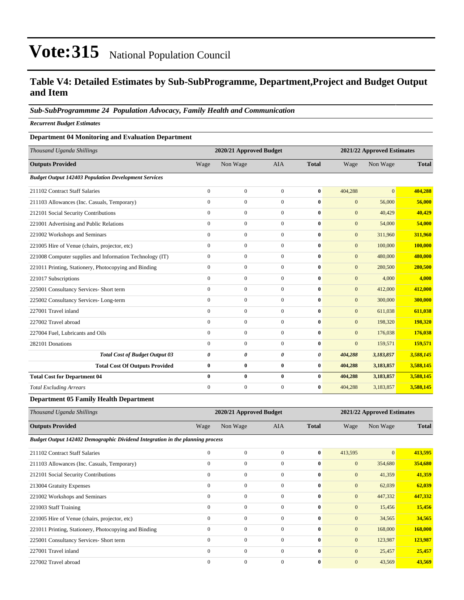### **Table V4: Detailed Estimates by Sub-SubProgramme, Department,Project and Budget Output and Item**

#### *Sub-SubProgrammme 24 Population Advocacy, Family Health and Communication*

*Recurrent Budget Estimates*

#### **Department 04 Monitoring and Evaluation Department**

| Thousand Uganda Shillings                                   |              | 2020/21 Approved Budget |                  |              |              | 2021/22 Approved Estimates |              |
|-------------------------------------------------------------|--------------|-------------------------|------------------|--------------|--------------|----------------------------|--------------|
| <b>Outputs Provided</b>                                     | Wage         | Non Wage                | <b>AIA</b>       | <b>Total</b> | Wage         | Non Wage                   | <b>Total</b> |
| <b>Budget Output 142403 Population Development Services</b> |              |                         |                  |              |              |                            |              |
| 211102 Contract Staff Salaries                              | $\mathbf{0}$ | $\mathbf{0}$            | $\mathbf{0}$     | $\bf{0}$     | 404,288      | $\overline{0}$             | 404.288      |
| 211103 Allowances (Inc. Casuals, Temporary)                 | $\mathbf{0}$ | $\mathbf{0}$            | $\mathbf{0}$     | $\bf{0}$     | $\mathbf{0}$ | 56,000                     | 56,000       |
| 212101 Social Security Contributions                        | $\mathbf{0}$ | $\overline{0}$          | $\mathbf{0}$     | $\bf{0}$     | $\mathbf{0}$ | 40,429                     | 40,429       |
| 221001 Advertising and Public Relations                     | $\mathbf{0}$ | $\boldsymbol{0}$        | $\boldsymbol{0}$ | $\bf{0}$     | $\mathbf{0}$ | 54,000                     | 54,000       |
| 221002 Workshops and Seminars                               | $\mathbf{0}$ | $\mathbf{0}$            | $\mathbf{0}$     | $\bf{0}$     | $\mathbf{0}$ | 311,960                    | 311,960      |
| 221005 Hire of Venue (chairs, projector, etc)               | $\mathbf{0}$ | $\overline{0}$          | $\mathbf{0}$     | $\bf{0}$     | $\mathbf{0}$ | 100,000                    | 100,000      |
| 221008 Computer supplies and Information Technology (IT)    | $\mathbf{0}$ | $\mathbf{0}$            | $\mathbf{0}$     | $\bf{0}$     | $\mathbf{0}$ | 480,000                    | 480,000      |
| 221011 Printing, Stationery, Photocopying and Binding       | $\mathbf{0}$ | $\mathbf{0}$            | $\mathbf{0}$     | $\bf{0}$     | $\mathbf{0}$ | 280,500                    | 280,500      |
| 221017 Subscriptions                                        | $\mathbf{0}$ | $\overline{0}$          | $\mathbf{0}$     | $\bf{0}$     | $\mathbf{0}$ | 4,000                      | 4,000        |
| 225001 Consultancy Services- Short term                     | $\mathbf{0}$ | $\mathbf{0}$            | $\Omega$         | $\bf{0}$     | $\mathbf{0}$ | 412,000                    | 412,000      |
| 225002 Consultancy Services-Long-term                       | $\mathbf{0}$ | $\overline{0}$          | $\mathbf{0}$     | $\bf{0}$     | $\mathbf{0}$ | 300,000                    | 300,000      |
| 227001 Travel inland                                        | $\Omega$     | $\mathbf{0}$            | $\mathbf{0}$     | $\bf{0}$     | $\mathbf{0}$ | 611,038                    | 611,038      |
| 227002 Travel abroad                                        | $\mathbf{0}$ | $\overline{0}$          | $\mathbf{0}$     | $\bf{0}$     | $\mathbf{0}$ | 198,320                    | 198,320      |
| 227004 Fuel. Lubricants and Oils                            | $\mathbf{0}$ | $\mathbf{0}$            | $\mathbf{0}$     | $\bf{0}$     | $\mathbf{0}$ | 176,038                    | 176,038      |
| 282101 Donations                                            | $\Omega$     | $\mathbf{0}$            | $\Omega$         | $\bf{0}$     | $\mathbf{0}$ | 159,571                    | 159,571      |
| <b>Total Cost of Budget Output 03</b>                       | 0            | 0                       | 0                | 0            | 404,288      | 3,183,857                  | 3,588,145    |
| <b>Total Cost Of Outputs Provided</b>                       | $\bf{0}$     | $\bf{0}$                | $\bf{0}$         | $\bf{0}$     | 404,288      | 3,183,857                  | 3,588,145    |
| <b>Total Cost for Department 04</b>                         | $\mathbf{0}$ | $\bf{0}$                | $\bf{0}$         | 0            | 404,288      | 3,183,857                  | 3,588,145    |
| <b>Total Excluding Arrears</b>                              | $\mathbf{0}$ | $\mathbf{0}$            | $\mathbf{0}$     | $\bf{0}$     | 404,288      | 3,183,857                  | 3,588,145    |

**Department 05 Family Health Department**

| Thousand Uganda Shillings |      | 2020/21 Approved Budget |     |       | 2021/22 Approved Estimates |          |              |  |
|---------------------------|------|-------------------------|-----|-------|----------------------------|----------|--------------|--|
| <b>Outputs Provided</b>   | Wage | Non Wage                | AIA | Total | Wage                       | Non Wage | <b>Total</b> |  |

*Budget Output 142402 Demographic Dividend Integration in the planning process*

| 211102 Contract Staff Salaries                        | $\mathbf{0}$ | $\overline{0}$ | $\mathbf{0}$ | $\bf{0}$     | 413,595        | $\overline{0}$ | 413,595 |
|-------------------------------------------------------|--------------|----------------|--------------|--------------|----------------|----------------|---------|
| 211103 Allowances (Inc. Casuals, Temporary)           | $\mathbf{0}$ | $\mathbf{0}$   | $\mathbf{0}$ | $\bf{0}$     | $\overline{0}$ | 354,680        | 354,680 |
| 212101 Social Security Contributions                  | $\Omega$     | $\mathbf{0}$   | $\Omega$     | $\mathbf{0}$ | $\overline{0}$ | 41,359         | 41,359  |
| 213004 Gratuity Expenses                              | $\Omega$     | $\mathbf{0}$   | $\mathbf{0}$ | $\mathbf{0}$ | $\mathbf{0}$   | 62,039         | 62,039  |
| 221002 Workshops and Seminars                         | $\mathbf{0}$ | $\mathbf{0}$   | $\Omega$     | $\bf{0}$     | $\overline{0}$ | 447,332        | 447,332 |
| 221003 Staff Training                                 | $\Omega$     | $\mathbf{0}$   | $\mathbf{0}$ | $\bf{0}$     | $\overline{0}$ | 15,456         | 15,456  |
| 221005 Hire of Venue (chairs, projector, etc)         | $\Omega$     | $\mathbf{0}$   | $\mathbf{0}$ | $\bf{0}$     | $\overline{0}$ | 34,565         | 34,565  |
| 221011 Printing, Stationery, Photocopying and Binding | $\Omega$     | $\mathbf{0}$   | $\Omega$     | $\mathbf{0}$ | $\overline{0}$ | 168,000        | 168,000 |
| 225001 Consultancy Services- Short term               | $\theta$     | $\mathbf{0}$   | $\Omega$     | $\mathbf{0}$ | $\overline{0}$ | 123,987        | 123,987 |
| 227001 Travel inland                                  | $\Omega$     | $\mathbf{0}$   | $\Omega$     | $\mathbf{0}$ | $\overline{0}$ | 25,457         | 25,457  |
| 227002 Travel abroad                                  | $\Omega$     | $\mathbf{0}$   | $\Omega$     | $\bf{0}$     | $\overline{0}$ | 43,569         | 43.569  |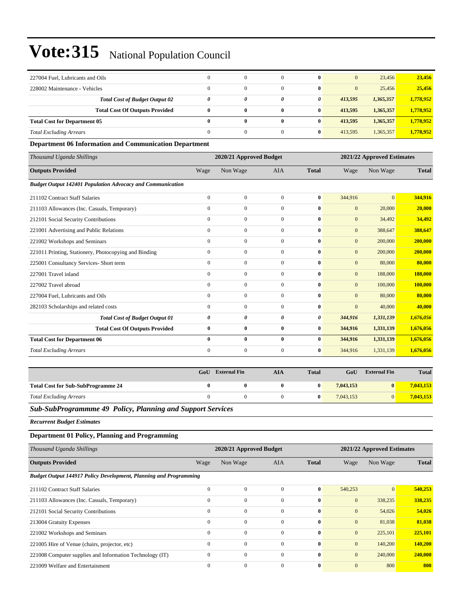| 227004 Fuel, Lubricants and Oils                                  | $\mathbf{0}$          | $\overline{0}$          | $\mathbf{0}$     | $\bf{0}$         | $\mathbf{0}$     | 23,456                     | 23,456       |
|-------------------------------------------------------------------|-----------------------|-------------------------|------------------|------------------|------------------|----------------------------|--------------|
| 228002 Maintenance - Vehicles                                     | $\mathbf{0}$          | $\overline{0}$          | $\mathbf{0}$     | $\bf{0}$         | $\mathbf{0}$     | 25,456                     | 25,456       |
| <b>Total Cost of Budget Output 02</b>                             | $\boldsymbol{\theta}$ | 0                       | 0                | 0                | 413,595          | 1,365,357                  | 1,778,952    |
| <b>Total Cost Of Outputs Provided</b>                             | $\bf{0}$              | $\bf{0}$                | $\bf{0}$         | $\bf{0}$         | 413,595          | 1,365,357                  | 1,778,952    |
| <b>Total Cost for Department 05</b>                               | $\bf{0}$              | $\bf{0}$                | $\bf{0}$         | $\bf{0}$         | 413,595          | 1,365,357                  | 1,778,952    |
| <b>Total Excluding Arrears</b>                                    | $\mathbf{0}$          | $\boldsymbol{0}$        | $\mathbf{0}$     | $\bf{0}$         | 413,595          | 1,365,357                  | 1,778,952    |
| <b>Department 06 Information and Communication Department</b>     |                       |                         |                  |                  |                  |                            |              |
| Thousand Uganda Shillings                                         |                       | 2020/21 Approved Budget |                  |                  |                  | 2021/22 Approved Estimates |              |
| <b>Outputs Provided</b>                                           | Wage                  | Non Wage                | AIA              | <b>Total</b>     | Wage             | Non Wage                   | <b>Total</b> |
| <b>Budget Output 142401 Population Advocacy and Communication</b> |                       |                         |                  |                  |                  |                            |              |
| 211102 Contract Staff Salaries                                    | $\mathbf{0}$          | $\boldsymbol{0}$        | $\boldsymbol{0}$ | $\bf{0}$         | 344,916          | $\mathbf{0}$               | 344,916      |
| 211103 Allowances (Inc. Casuals, Temporary)                       | $\boldsymbol{0}$      | $\boldsymbol{0}$        | $\boldsymbol{0}$ | $\bf{0}$         | $\boldsymbol{0}$ | 20,000                     | 20,000       |
| 212101 Social Security Contributions                              | $\mathbf{0}$          | $\boldsymbol{0}$        | $\boldsymbol{0}$ | $\bf{0}$         | $\boldsymbol{0}$ | 34,492                     | 34,492       |
| 221001 Advertising and Public Relations                           | $\mathbf{0}$          | $\overline{0}$          | $\overline{0}$   | $\bf{0}$         | $\mathbf{0}$     | 388,647                    | 388,647      |
| 221002 Workshops and Seminars                                     | $\mathbf{0}$          | $\boldsymbol{0}$        | $\mathbf{0}$     | $\bf{0}$         | $\mathbf{0}$     | 200,000                    | 200,000      |
| 221011 Printing, Stationery, Photocopying and Binding             | $\mathbf{0}$          | $\boldsymbol{0}$        | $\boldsymbol{0}$ | $\bf{0}$         | $\boldsymbol{0}$ | 200,000                    | 200,000      |
| 225001 Consultancy Services- Short term                           | $\mathbf{0}$          | $\boldsymbol{0}$        | $\boldsymbol{0}$ | $\bf{0}$         | $\boldsymbol{0}$ | 80,000                     | 80,000       |
| 227001 Travel inland                                              | $\mathbf{0}$          | $\boldsymbol{0}$        | $\boldsymbol{0}$ | $\bf{0}$         | $\boldsymbol{0}$ | 188,000                    | 188,000      |
| 227002 Travel abroad                                              | $\mathbf{0}$          | $\boldsymbol{0}$        | $\overline{0}$   | $\bf{0}$         | $\mathbf{0}$     | 100,000                    | 100,000      |
| 227004 Fuel, Lubricants and Oils                                  | $\mathbf{0}$          | $\boldsymbol{0}$        | $\overline{0}$   | $\bf{0}$         | $\mathbf{0}$     | 80,000                     | 80,000       |
| 282103 Scholarships and related costs                             | $\mathbf{0}$          | $\overline{0}$          | $\mathbf{0}$     | $\bf{0}$         | $\mathbf{0}$     | 40,000                     | 40,000       |
| <b>Total Cost of Budget Output 01</b>                             | 0                     | 0                       | 0                | 0                | 344,916          | 1,331,139                  | 1,676,056    |
| <b>Total Cost Of Outputs Provided</b>                             | $\bf{0}$              | $\bf{0}$                | $\bf{0}$         | $\bf{0}$         | 344,916          | 1,331,139                  | 1,676,056    |
| <b>Total Cost for Department 06</b>                               | $\bf{0}$              | $\bf{0}$                | $\bf{0}$         | $\bf{0}$         | 344,916          | 1,331,139                  | 1,676,056    |
| <b>Total Excluding Arrears</b>                                    | $\mathbf{0}$          | $\boldsymbol{0}$        | $\mathbf{0}$     | $\bf{0}$         | 344,916          | 1,331,139                  | 1,676,056    |
|                                                                   |                       |                         |                  |                  |                  |                            |              |
|                                                                   | GoU                   | <b>External Fin</b>     | <b>AIA</b>       | <b>Total</b>     | GoU              | <b>External Fin</b>        | <b>Total</b> |
| <b>Total Cost for Sub-SubProgramme 24</b>                         | $\bf{0}$              | $\bf{0}$                | $\bf{0}$         | 0                | 7,043,153        | $\bf{0}$                   | 7,043,153    |
| <b>Total Excluding Arrears</b>                                    | $\mathbf{0}$          | $\boldsymbol{0}$        | $\boldsymbol{0}$ | $\bf{0}$         | 7,043,153        | $\mathbf{0}$               | 7,043,153    |
| Sub-SubProgrammme 49 Policy, Planning and Support Services        |                       |                         |                  |                  |                  |                            |              |
| <b>Recurrent Budget Estimates</b>                                 |                       |                         |                  |                  |                  |                            |              |
| <b>Department 01 Policy, Planning and Programming</b>             |                       |                         |                  |                  |                  |                            |              |
| Thousand Uganda Shillings                                         |                       | 2020/21 Approved Budget |                  |                  |                  | 2021/22 Approved Estimates |              |
| <b>Outputs Provided</b>                                           | Wage                  | Non Wage                | AIA              | <b>Total</b>     | Wage             | Non Wage                   | <b>Total</b> |
| Budget Output 144917 Policy Development, Planning and Programming |                       |                         |                  |                  |                  |                            |              |
| 211102 Contract Staff Salaries                                    | $\mathbf{0}$          | $\boldsymbol{0}$        | $\boldsymbol{0}$ | $\pmb{0}$        | 540,253          | $\boldsymbol{0}$           | 540,253      |
| 211103 Allowances (Inc. Casuals, Temporary)                       | $\boldsymbol{0}$      | $\overline{0}$          | $\overline{0}$   | $\bf{0}$         | $\boldsymbol{0}$ | 338,235                    | 338,235      |
| 212101 Social Security Contributions                              | $\mathbf{0}$          | $\boldsymbol{0}$        | $\boldsymbol{0}$ | $\boldsymbol{0}$ | $\boldsymbol{0}$ | 54,026                     | 54,026       |
| 213004 Gratuity Expenses                                          | $\boldsymbol{0}$      | $\boldsymbol{0}$        | $\boldsymbol{0}$ | $\bf{0}$         | $\boldsymbol{0}$ | 81,038                     | 81,038       |
| 221002 Workshops and Seminars                                     | $\boldsymbol{0}$      | $\boldsymbol{0}$        | $\boldsymbol{0}$ | $\bf{0}$         | $\boldsymbol{0}$ | 225,101                    | 225,101      |
| 221005 Hire of Venue (chairs, projector, etc)                     | $\boldsymbol{0}$      | $\boldsymbol{0}$        | $\boldsymbol{0}$ | $\pmb{0}$        | $\boldsymbol{0}$ | 140,200                    | 140,200      |
| 221008 Computer supplies and Information Technology (IT)          | $\boldsymbol{0}$      | $\boldsymbol{0}$        | $\overline{0}$   | $\bf{0}$         | $\boldsymbol{0}$ | 240,000                    | 240,000      |
| 221009 Welfare and Entertainment                                  | $\boldsymbol{0}$      | $\boldsymbol{0}$        | $\boldsymbol{0}$ | $\bf{0}$         | $\boldsymbol{0}$ | 800                        | 800          |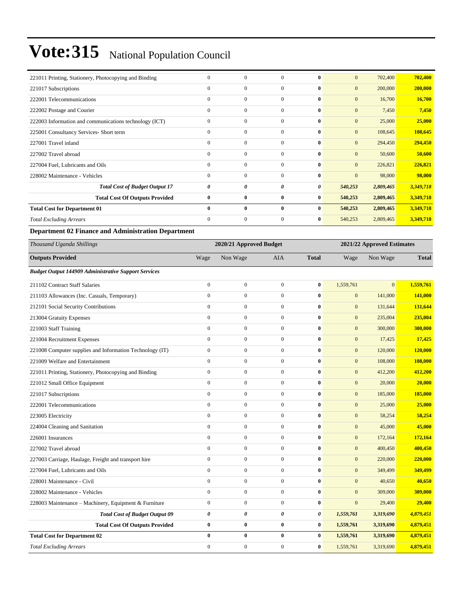| 221011 Printing, Stationery, Photocopying and Binding  | $\mathbf{0}$ | $\mathbf{0}$ | $\Omega$     | $\bf{0}$     | $\mathbf{0}$     | 702,400   | 702,400   |
|--------------------------------------------------------|--------------|--------------|--------------|--------------|------------------|-----------|-----------|
| 221017 Subscriptions                                   | $\Omega$     | $\mathbf{0}$ | $\mathbf{0}$ | $\bf{0}$     | $\mathbf{0}$     | 200,000   | 200,000   |
| 222001 Telecommunications                              | $\mathbf{0}$ | $\mathbf{0}$ | $\mathbf{0}$ | $\bf{0}$     | $\mathbf{0}$     | 16,700    | 16,700    |
| 222002 Postage and Courier                             | $\mathbf{0}$ | $\mathbf{0}$ | $\Omega$     | $\bf{0}$     | $\mathbf{0}$     | 7,450     | 7,450     |
| 222003 Information and communications technology (ICT) | $\mathbf{0}$ | $\mathbf{0}$ | $\mathbf{0}$ | $\bf{0}$     | $\mathbf{0}$     | 25,000    | 25,000    |
| 225001 Consultancy Services- Short term                | $\mathbf{0}$ | $\mathbf{0}$ | $\mathbf{0}$ | $\bf{0}$     | $\boldsymbol{0}$ | 108,645   | 108,645   |
| 227001 Travel inland                                   | $\mathbf{0}$ | $\mathbf{0}$ | $\mathbf{0}$ | $\bf{0}$     | $\mathbf{0}$     | 294,450   | 294,450   |
| 227002 Travel abroad                                   | $\mathbf{0}$ | $\mathbf{0}$ | $\mathbf{0}$ | $\bf{0}$     | $\mathbf{0}$     | 50,600    | 50,600    |
| 227004 Fuel, Lubricants and Oils                       | $\Omega$     | $\mathbf{0}$ | $\Omega$     | $\mathbf{0}$ | $\mathbf{0}$     | 226,821   | 226,821   |
| 228002 Maintenance - Vehicles                          | $\Omega$     | $\mathbf{0}$ | $\Omega$     | $\bf{0}$     | $\mathbf{0}$     | 98,000    | 98,000    |
| <b>Total Cost of Budget Output 17</b>                  | 0            | 0            | 0            | 0            | 540,253          | 2,809,465 | 3,349,718 |
| <b>Total Cost Of Outputs Provided</b>                  | $\bf{0}$     | $\bf{0}$     | $\bf{0}$     | $\bf{0}$     | 540,253          | 2,809,465 | 3,349,718 |
| <b>Total Cost for Department 01</b>                    | $\mathbf{0}$ | $\bf{0}$     | $\bf{0}$     | $\bf{0}$     | 540,253          | 2,809,465 | 3,349,718 |
| <b>Total Excluding Arrears</b>                         | $\mathbf{0}$ | $\mathbf{0}$ | $\mathbf{0}$ | $\bf{0}$     | 540,253          | 2,809,465 | 3,349,718 |

### **Department 02 Finance and Administration Department**

| Thousand Uganda Shillings                                   |                  | 2020/21 Approved Budget |                  |              |                  | 2021/22 Approved Estimates |              |
|-------------------------------------------------------------|------------------|-------------------------|------------------|--------------|------------------|----------------------------|--------------|
| <b>Outputs Provided</b>                                     | Wage             | Non Wage                | <b>AIA</b>       | <b>Total</b> | Wage             | Non Wage                   | <b>Total</b> |
| <b>Budget Output 144909 Administrative Support Services</b> |                  |                         |                  |              |                  |                            |              |
| 211102 Contract Staff Salaries                              | $\mathbf{0}$     | $\boldsymbol{0}$        | $\mathbf{0}$     | $\bf{0}$     | 1,559,761        | $\mathbf{0}$               | 1,559,761    |
| 211103 Allowances (Inc. Casuals, Temporary)                 | $\mathbf{0}$     | $\overline{0}$          | $\mathbf{0}$     | $\bf{0}$     | $\mathbf{0}$     | 141,000                    | 141,000      |
| 212101 Social Security Contributions                        | $\mathbf{0}$     | $\boldsymbol{0}$        | $\mathbf{0}$     | $\bf{0}$     | $\mathbf{0}$     | 131,644                    | 131,644      |
| 213004 Gratuity Expenses                                    | $\mathbf{0}$     | $\boldsymbol{0}$        | $\mathbf{0}$     | $\bf{0}$     | $\mathbf{0}$     | 235,004                    | 235,004      |
| 221003 Staff Training                                       | $\mathbf{0}$     | $\overline{0}$          | $\mathbf{0}$     | $\bf{0}$     | $\mathbf{0}$     | 300,000                    | 300,000      |
| 221004 Recruitment Expenses                                 | $\mathbf{0}$     | $\boldsymbol{0}$        | $\overline{0}$   | $\bf{0}$     | $\mathbf{0}$     | 17,425                     | 17,425       |
| 221008 Computer supplies and Information Technology (IT)    | $\boldsymbol{0}$ | $\boldsymbol{0}$        | $\boldsymbol{0}$ | $\bf{0}$     | $\boldsymbol{0}$ | 120,000                    | 120,000      |
| 221009 Welfare and Entertainment                            | $\mathbf{0}$     | $\overline{0}$          | $\mathbf{0}$     | $\bf{0}$     | $\mathbf{0}$     | 108,000                    | 108,000      |
| 221011 Printing, Stationery, Photocopying and Binding       | $\mathbf{0}$     | $\overline{0}$          | $\overline{0}$   | $\bf{0}$     | $\boldsymbol{0}$ | 412,200                    | 412,200      |
| 221012 Small Office Equipment                               | $\boldsymbol{0}$ | $\boldsymbol{0}$        | $\overline{0}$   | $\bf{0}$     | $\boldsymbol{0}$ | 20,000                     | 20,000       |
| 221017 Subscriptions                                        | $\Omega$         | $\overline{0}$          | $\overline{0}$   | $\bf{0}$     | $\mathbf{0}$     | 185,000                    | 185,000      |
| 222001 Telecommunications                                   | $\mathbf{0}$     | $\boldsymbol{0}$        | $\overline{0}$   | $\bf{0}$     | $\mathbf{0}$     | 25,000                     | 25,000       |
| 223005 Electricity                                          | $\boldsymbol{0}$ | $\boldsymbol{0}$        | $\boldsymbol{0}$ | $\bf{0}$     | $\mathbf{0}$     | 58,254                     | 58,254       |
| 224004 Cleaning and Sanitation                              | $\mathbf{0}$     | $\overline{0}$          | $\mathbf{0}$     | $\bf{0}$     | $\mathbf{0}$     | 45,000                     | 45,000       |
| 226001 Insurances                                           | $\mathbf{0}$     | $\boldsymbol{0}$        | $\mathbf{0}$     | $\bf{0}$     | $\mathbf{0}$     | 172,164                    | 172,164      |
| 227002 Travel abroad                                        | $\mathbf{0}$     | $\boldsymbol{0}$        | $\overline{0}$   | $\bf{0}$     | $\mathbf{0}$     | 400,450                    | 400,450      |
| 227003 Carriage, Haulage, Freight and transport hire        | $\mathbf{0}$     | $\overline{0}$          | $\overline{0}$   | $\bf{0}$     | $\mathbf{0}$     | 220,000                    | 220,000      |
| 227004 Fuel, Lubricants and Oils                            | $\mathbf{0}$     | $\boldsymbol{0}$        | $\mathbf{0}$     | $\bf{0}$     | $\mathbf{0}$     | 349,499                    | 349,499      |
| 228001 Maintenance - Civil                                  | $\mathbf{0}$     | $\boldsymbol{0}$        | $\overline{0}$   | $\bf{0}$     | $\mathbf{0}$     | 40,650                     | 40,650       |
| 228002 Maintenance - Vehicles                               | $\mathbf{0}$     | $\mathbf{0}$            | $\mathbf{0}$     | $\bf{0}$     | $\mathbf{0}$     | 309,000                    | 309,000      |
| 228003 Maintenance - Machinery, Equipment & Furniture       | $\mathbf{0}$     | $\boldsymbol{0}$        | $\mathbf{0}$     | $\bf{0}$     | $\mathbf{0}$     | 29,400                     | 29,400       |
| <b>Total Cost of Budget Output 09</b>                       | $\pmb{\theta}$   | 0                       | 0                | 0            | 1,559,761        | 3,319,690                  | 4,879,451    |
| <b>Total Cost Of Outputs Provided</b>                       | $\bf{0}$         | $\bf{0}$                | $\bf{0}$         | $\bf{0}$     | 1,559,761        | 3,319,690                  | 4,879,451    |
| <b>Total Cost for Department 02</b>                         | $\bf{0}$         | $\bf{0}$                | $\bf{0}$         | $\bf{0}$     | 1,559,761        | 3,319,690                  | 4,879,451    |
| <b>Total Excluding Arrears</b>                              | $\mathbf{0}$     | $\mathbf{0}$            | $\mathbf{0}$     | $\bf{0}$     | 1,559,761        | 3,319,690                  | 4,879,451    |